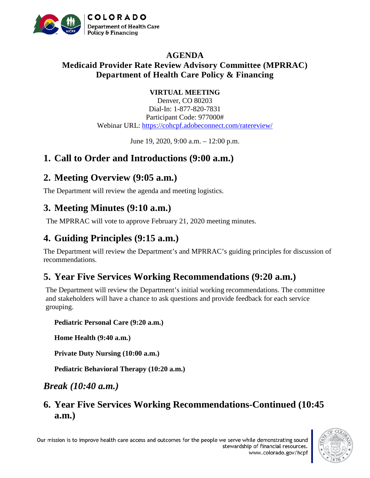

#### **AGENDA Medicaid Provider Rate Review Advisory Committee (MPRRAC) Department of Health Care Policy & Financing**

#### **VIRTUAL MEETING**

Denver, CO 80203 Dial-In: 1-877-820-7831 Participant Code: 977000# Webinar URL:<https://cohcpf.adobeconnect.com/ratereview/>

June 19, 2020, 9:00 a.m. – 12:00 p.m.

#### **1. Call to Order and Introductions (9:00 a.m.)**

#### **2. Meeting Overview (9:05 a.m.)**

The Department will review the agenda and meeting logistics.

## **3. Meeting Minutes (9:10 a.m.)**

The MPRRAC will vote to approve February 21, 2020 meeting minutes.

# **4. Guiding Principles (9:15 a.m.)**

The Department will review the Department's and MPRRAC's guiding principles for discussion of recommendations.

# **5. Year Five Services Working Recommendations (9:20 a.m.)**

The Department will review the Department's initial working recommendations. The committee and stakeholders will have a chance to ask questions and provide feedback for each service grouping.

**Pediatric Personal Care (9:20 a.m.)**

**Home Health (9:40 a.m.)**

**Private Duty Nursing (10:00 a.m.)**

**Pediatric Behavioral Therapy (10:20 a.m.)**

*Break (10:40 a.m.)*

**6. Year Five Services Working Recommendations-Continued (10:45 a.m.)**